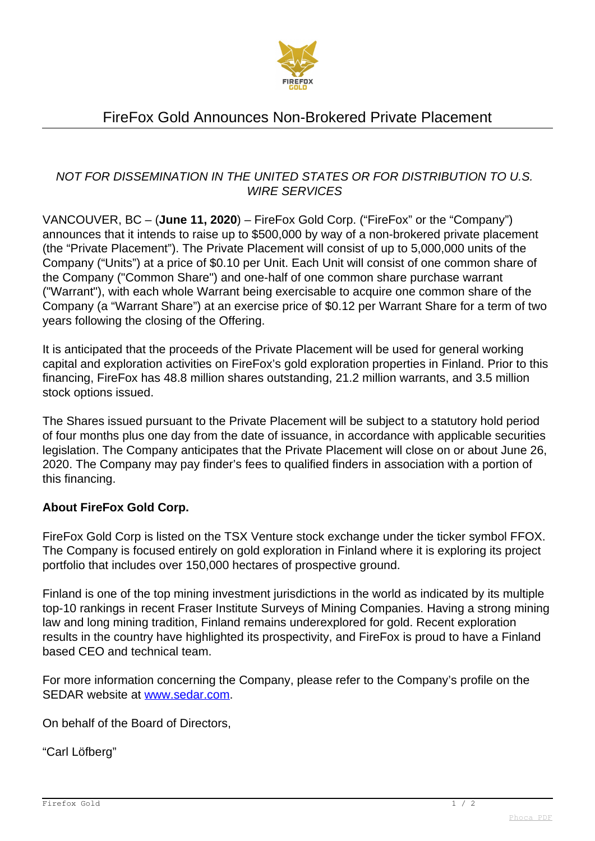

# FireFox Gold Announces Non-Brokered Private Placement

### NOT FOR DISSEMINATION IN THE UNITED STATES OR FOR DISTRIBUTION TO U.S. WIRE SERVICES

VANCOUVER, BC – (**June 11, 2020**) – FireFox Gold Corp. ("FireFox" or the "Company") announces that it intends to raise up to \$500,000 by way of a non-brokered private placement (the "Private Placement"). The Private Placement will consist of up to 5,000,000 units of the Company ("Units") at a price of \$0.10 per Unit. Each Unit will consist of one common share of the Company ("Common Share") and one-half of one common share purchase warrant ("Warrant"), with each whole Warrant being exercisable to acquire one common share of the Company (a "Warrant Share") at an exercise price of \$0.12 per Warrant Share for a term of two years following the closing of the Offering.

It is anticipated that the proceeds of the Private Placement will be used for general working capital and exploration activities on FireFox's gold exploration properties in Finland. Prior to this financing, FireFox has 48.8 million shares outstanding, 21.2 million warrants, and 3.5 million stock options issued.

The Shares issued pursuant to the Private Placement will be subject to a statutory hold period of four months plus one day from the date of issuance, in accordance with applicable securities legislation. The Company anticipates that the Private Placement will close on or about June 26, 2020. The Company may pay finder's fees to qualified finders in association with a portion of this financing.

### **About FireFox Gold Corp.**

FireFox Gold Corp is listed on the TSX Venture stock exchange under the ticker symbol FFOX. The Company is focused entirely on gold exploration in Finland where it is exploring its project portfolio that includes over 150,000 hectares of prospective ground.

Finland is one of the top mining investment jurisdictions in the world as indicated by its multiple top-10 rankings in recent Fraser Institute Surveys of Mining Companies. Having a strong mining law and long mining tradition, Finland remains underexplored for gold. Recent exploration results in the country have highlighted its prospectivity, and FireFox is proud to have a Finland based CEO and technical team.

For more information concerning the Company, please refer to the Company's profile on the SEDAR website at [www.sedar.com.](http://www.sedar.com)

On behalf of the Board of Directors,

"Carl Löfberg"